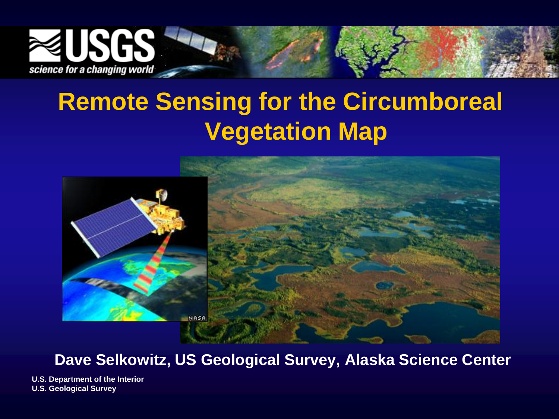

### **Remote Sensing for the Circumboreal Vegetation Map**



### **Dave Selkowitz, US Geological Survey, Alaska Science Center**

**U.S. Department of the Interior U.S. Geological Survey**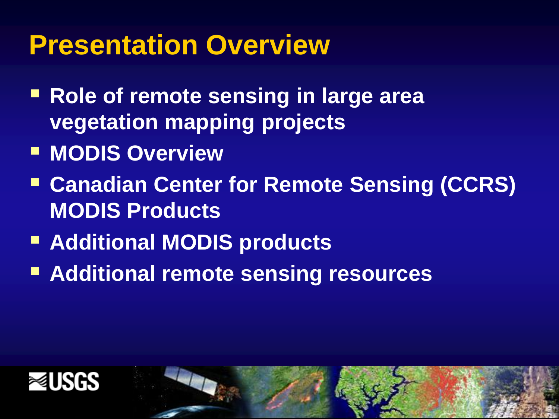### **Presentation Overview**

- **Role of remote sensing in large area vegetation mapping projects**
- **MODIS Overview**
- **Canadian Center for Remote Sensing (CCRS) MODIS Products**
- **Additional MODIS products**
- **Additional remote sensing resources**



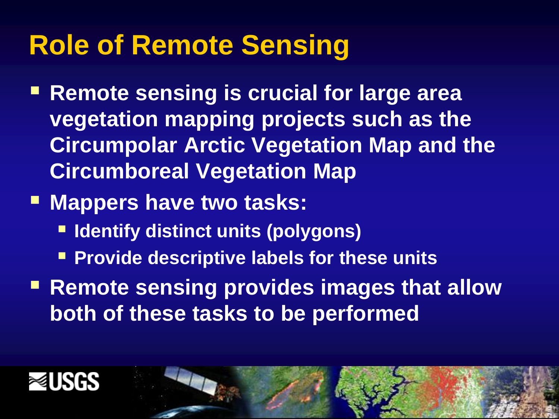### **Role of Remote Sensing**

- **Remote sensing is crucial for large area vegetation mapping projects such as the Circumpolar Arctic Vegetation Map and the Circumboreal Vegetation Map**
- **Mappers have two tasks:** 
	- **Example 1 Identify distinct units (polygons)**
	- **Provide descriptive labels for these units**
- **Remote sensing provides images that allow both of these tasks to be performed**



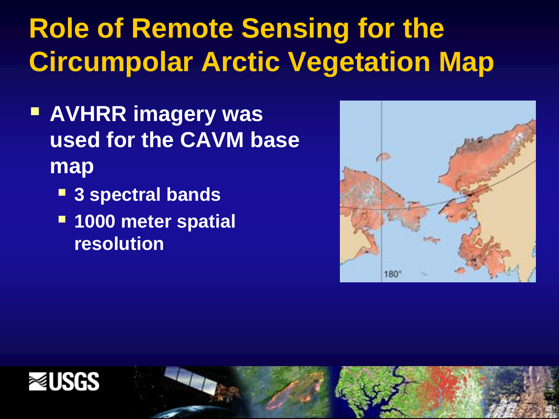# **Role of Remote Sensing for the Circumpolar Arctic Vegetation Map**

- **AVHRR imagery was used for the CAVM base map**
	- **3 spectral bands**
	- **1000 meter spatial resolution**





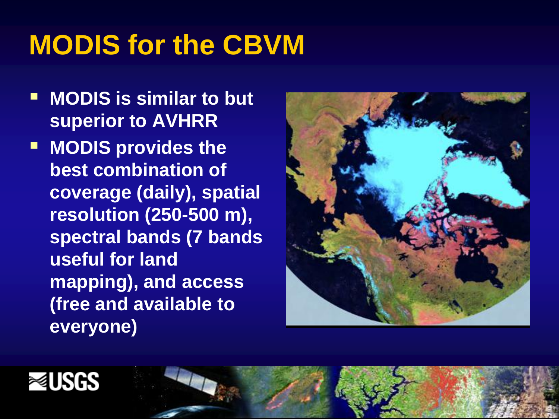### **MODIS for the CBVM**

- **MODIS is similar to but superior to AVHRR**
- **MODIS provides the best combination of coverage (daily), spatial resolution (250-500 m), spectral bands (7 bands useful for land mapping), and access (free and available to everyone)**





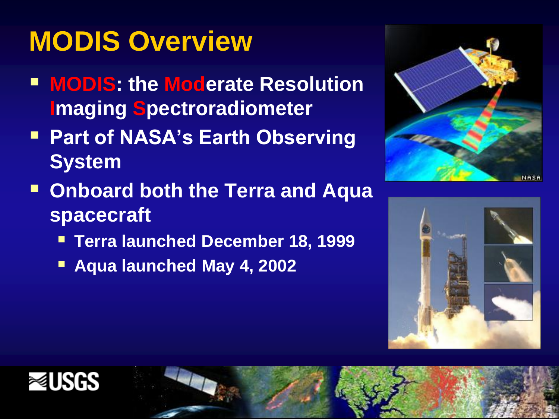# **MODIS Overview**

- **MODIS: the Moderate Resolution Imaging Spectroradiometer**
- **Part of NASA's Earth Observing System**
- **Onboard both the Terra and Aqua spacecraft**
	- **Terra launched December 18, 1999**
	- **Aqua launched May 4, 2002**







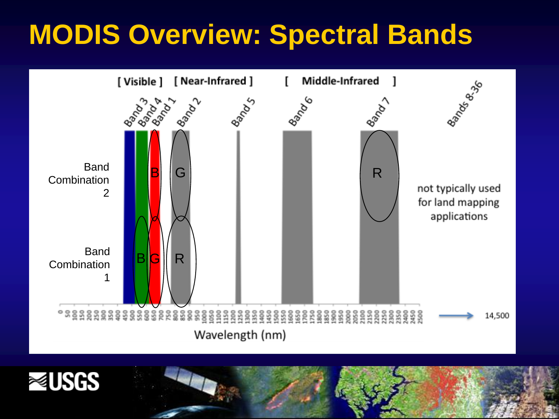### **MODIS Overview: Spectral Bands**





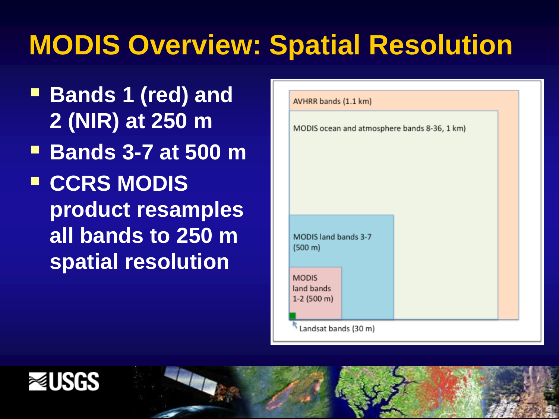### **MODIS Overview: Spatial Resolution**

- **Bands 1 (red) and 2 (NIR) at 250 m**
- **Bands 3-7 at 500 m**
- **E** CCRS MODIS **product resamples all bands to 250 m spatial resolution**

| MODIS ocean and atmosphere bands 8-36, 1 km) |
|----------------------------------------------|
|                                              |
|                                              |
|                                              |
|                                              |
|                                              |
|                                              |
| MODIS land bands 3-7                         |
| (500 m)                                      |
| <b>MODIS</b>                                 |
| land bands<br>$1-2$ (500 m)                  |
|                                              |



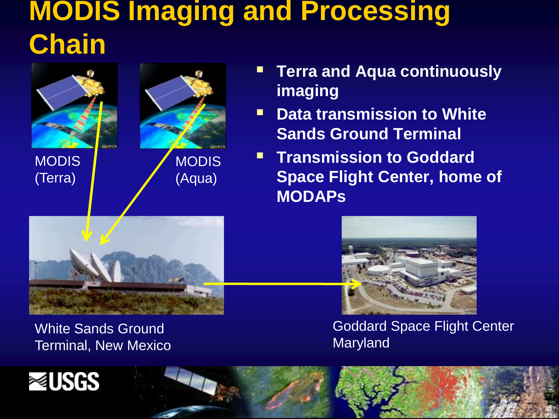### **MODIS Imaging and Processing Chain**

![](_page_8_Picture_1.jpeg)

(Terra)

![](_page_8_Picture_2.jpeg)

- **Terra and Aqua continuously imaging**
- **P** Data transmission to White **Sands Ground Terminal**
- **Transmission to Goddard Space Flight Center, home of MODAPs**

![](_page_8_Picture_6.jpeg)

White Sands Ground Terminal, New Mexico

![](_page_8_Picture_8.jpeg)

Goddard Space Flight Center Maryland

![](_page_8_Picture_10.jpeg)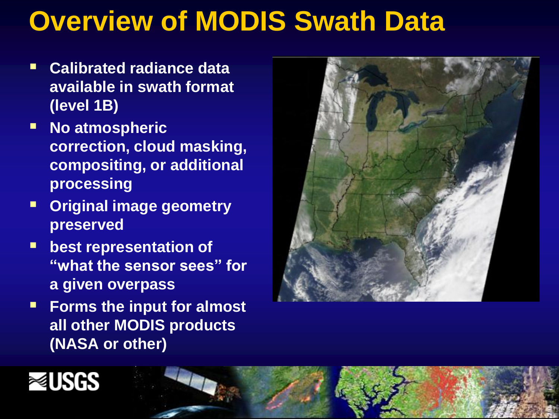### **Overview of MODIS Swath Data**

- **Calibrated radiance data available in swath format (level 1B)**
- **No atmospheric correction, cloud masking, compositing, or additional processing**
- **Original image geometry preserved**
- **best representation of "what the sensor sees" for a given overpass**
- **Forms the input for almost all other MODIS products (NASA or other)**

![](_page_9_Picture_6.jpeg)

![](_page_9_Picture_7.jpeg)

![](_page_9_Picture_8.jpeg)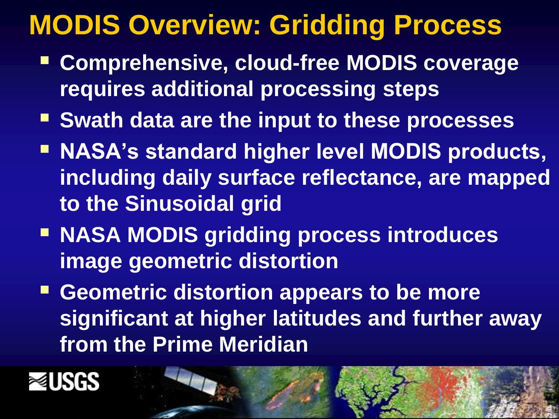### **MODIS Overview: Gridding Process**

- **Comprehensive, cloud-free MODIS coverage requires additional processing steps**
- **F** Swath data are the input to these processes
- **NASA's standard higher level MODIS products, including daily surface reflectance, are mapped to the Sinusoidal grid**
- **NASA MODIS gridding process introduces image geometric distortion**
- **F** Geometric distortion appears to be more **significant at higher latitudes and further away from the Prime Meridian**

![](_page_10_Picture_6.jpeg)

![](_page_10_Picture_7.jpeg)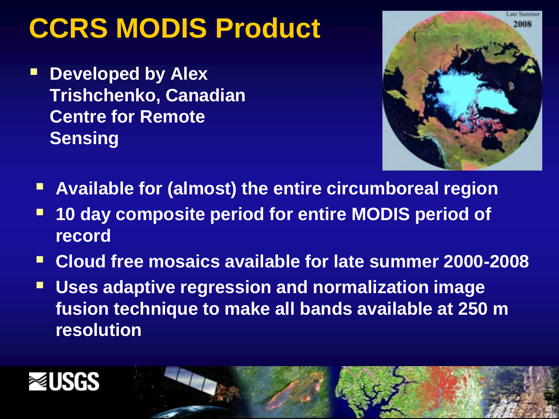### **CCRS MODIS Product**

 **Developed by Alex Trishchenko, Canadian Centre for Remote Sensing**

![](_page_11_Picture_2.jpeg)

- **Available for (almost) the entire circumboreal region**
- **10 day composite period for entire MODIS period of record**
- **Cloud free mosaics available for late summer 2000-2008**
- **Uses adaptive regression and normalization image fusion technique to make all bands available at 250 m resolution**

![](_page_11_Picture_7.jpeg)

![](_page_11_Picture_8.jpeg)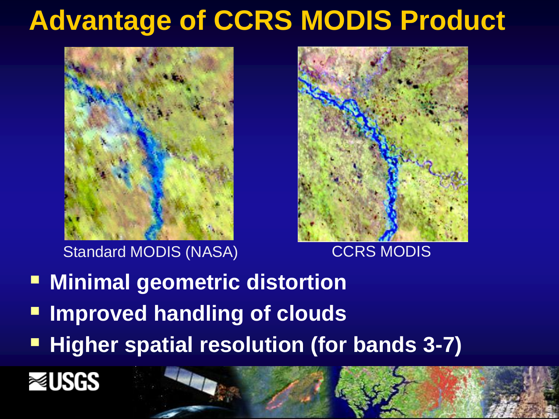### **Advantage of CCRS MODIS Product**

![](_page_12_Picture_1.jpeg)

Standard MODIS (NASA) CCRS MODIS

![](_page_12_Picture_3.jpeg)

- **E** Minimal geometric distortion
- **Improved handling of clouds**
- **Higher spatial resolution (for bands 3-7)**

![](_page_12_Picture_8.jpeg)

![](_page_12_Picture_9.jpeg)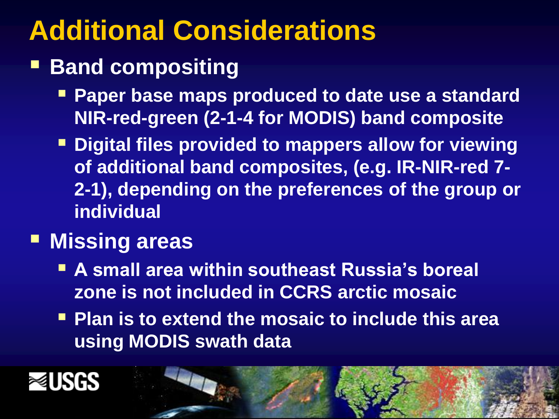### **Additional Considerations**

### **Band compositing**

- **Paper base maps produced to date use a standard NIR-red-green (2-1-4 for MODIS) band composite**
- **Digital files provided to mappers allow for viewing of additional band composites, (e.g. IR-NIR-red 7- 2-1), depending on the preferences of the group or individual**

### **Missing areas**

- **A small area within southeast Russia's boreal zone is not included in CCRS arctic mosaic**
- **Plan is to extend the mosaic to include this area using MODIS swath data**

![](_page_13_Picture_7.jpeg)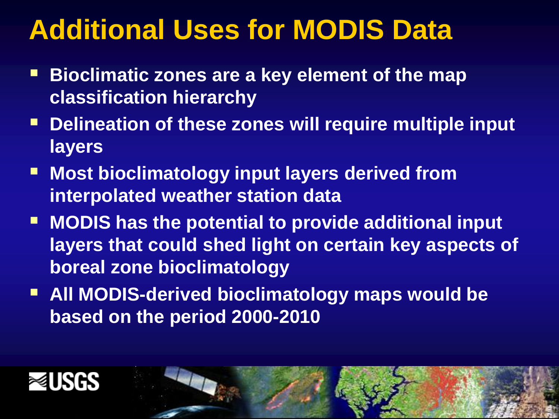### **Additional Uses for MODIS Data**

- **Bioclimatic zones are a key element of the map classification hierarchy**
- **Delineation of these zones will require multiple input layers**
- **Most bioclimatology input layers derived from interpolated weather station data**
- **MODIS has the potential to provide additional input layers that could shed light on certain key aspects of boreal zone bioclimatology**
- **All MODIS-derived bioclimatology maps would be based on the period 2000-2010**

![](_page_14_Picture_6.jpeg)

![](_page_14_Picture_7.jpeg)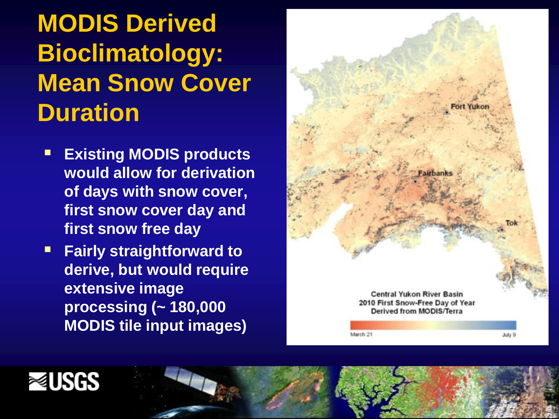### **MODIS Derived Bioclimatology: Mean Snow Cover Duration**

- **Existing MODIS products would allow for derivation of days with snow cover, first snow cover day and first snow free day**
- **Fairly straightforward to derive, but would require extensive image processing (~ 180,000 MODIS tile input images)**

![](_page_15_Figure_3.jpeg)

![](_page_15_Picture_4.jpeg)

![](_page_15_Picture_5.jpeg)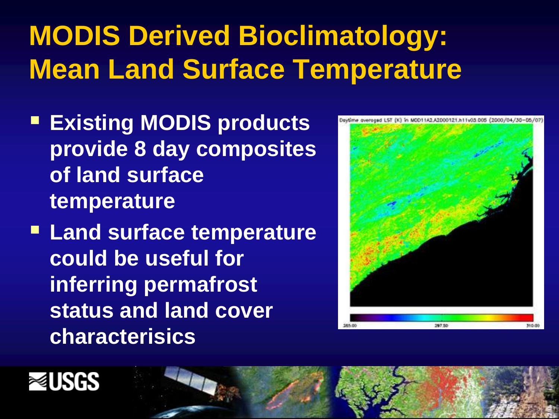# **MODIS Derived Bioclimatology: Mean Land Surface Temperature**

- **Existing MODIS products provide 8 day composites of land surface temperature**
- **Land surface temperature could be useful for inferring permafrost status and land cover characterisics**

![](_page_16_Picture_3.jpeg)

![](_page_16_Picture_4.jpeg)

![](_page_16_Picture_5.jpeg)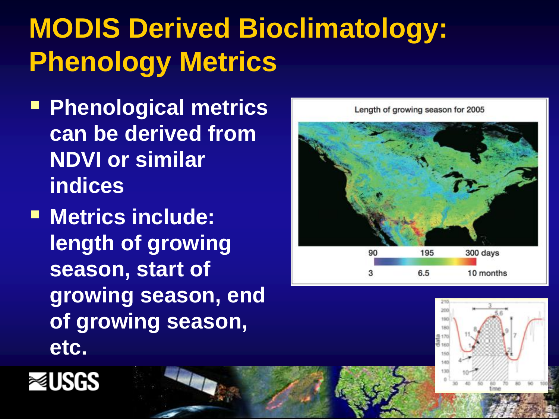# **MODIS Derived Bioclimatology: Phenology Metrics**

- **Phenological metrics can be derived from NDVI or similar indices**
- $\blacksquare$  **Metrics include: length of growing season, start of growing season, end of growing season, etc.**

![](_page_17_Figure_3.jpeg)

![](_page_17_Picture_4.jpeg)

![](_page_17_Picture_5.jpeg)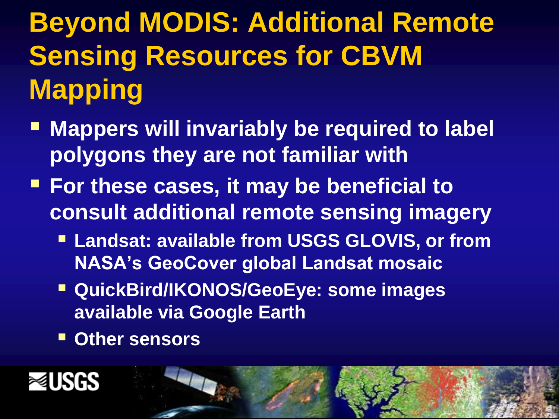**Beyond MODIS: Additional Remote Sensing Resources for CBVM Mapping**

- **Mappers will invariably be required to label polygons they are not familiar with**
- **For these cases, it may be beneficial to consult additional remote sensing imagery**
	- **Landsat: available from USGS GLOVIS, or from NASA's GeoCover global Landsat mosaic**
	- **QuickBird/IKONOS/GeoEye: some images available via Google Earth**
	- **Other sensors**

![](_page_18_Picture_6.jpeg)

![](_page_18_Picture_7.jpeg)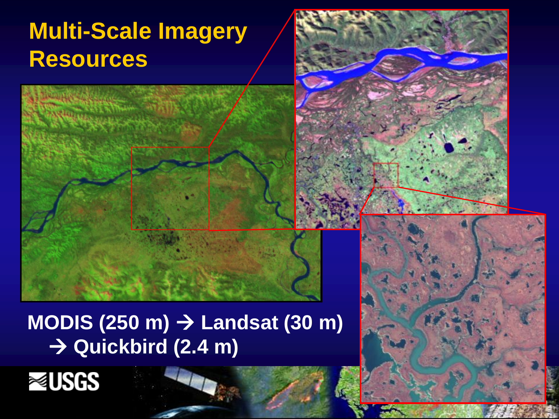### **Multi-Scale Imagery Resources**

![](_page_19_Picture_1.jpeg)

# **MODIS (250 m) → Landsat (30 m)**

![](_page_19_Picture_3.jpeg)

![](_page_19_Picture_4.jpeg)

![](_page_19_Picture_5.jpeg)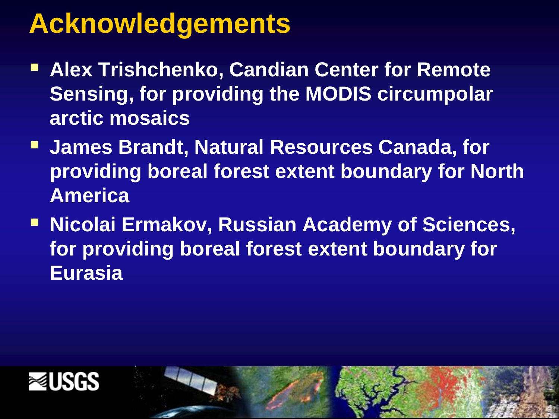### **Acknowledgements**

- **Alex Trishchenko, Candian Center for Remote Sensing, for providing the MODIS circumpolar arctic mosaics**
- **James Brandt, Natural Resources Canada, for providing boreal forest extent boundary for North America**
- **Example 2 Figure 1 Micolai Ermakov, Russian Academy of Sciences, for providing boreal forest extent boundary for Eurasia**

![](_page_20_Picture_4.jpeg)

![](_page_20_Picture_5.jpeg)